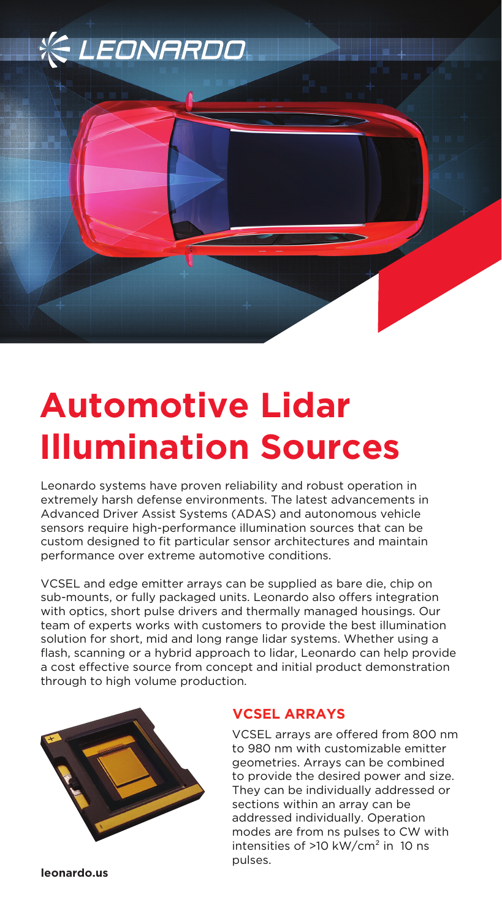

# **Automotive Lidar Illumination Sources**

Leonardo systems have proven reliability and robust operation in extremely harsh defense environments. The latest advancements in Advanced Driver Assist Systems (ADAS) and autonomous vehicle sensors require high-performance illumination sources that can be custom designed to fit particular sensor architectures and maintain performance over extreme automotive conditions.

VCSEL and edge emitter arrays can be supplied as bare die, chip on sub-mounts, or fully packaged units. Leonardo also offers integration with optics, short pulse drivers and thermally managed housings. Our team of experts works with customers to provide the best illumination solution for short, mid and long range lidar systems. Whether using a flash, scanning or a hybrid approach to lidar, Leonardo can help provide a cost effective source from concept and initial product demonstration through to high volume production.



## **VCSEL ARRAYS**

VCSEL arrays are offered from 800 nm to 980 nm with customizable emitter geometries. Arrays can be combined to provide the desired power and size. They can be individually addressed or sections within an array can be addressed individually. Operation modes are from ns pulses to CW with intensities of  $>10$  kW/cm<sup>2</sup> in 10 ns pulses.